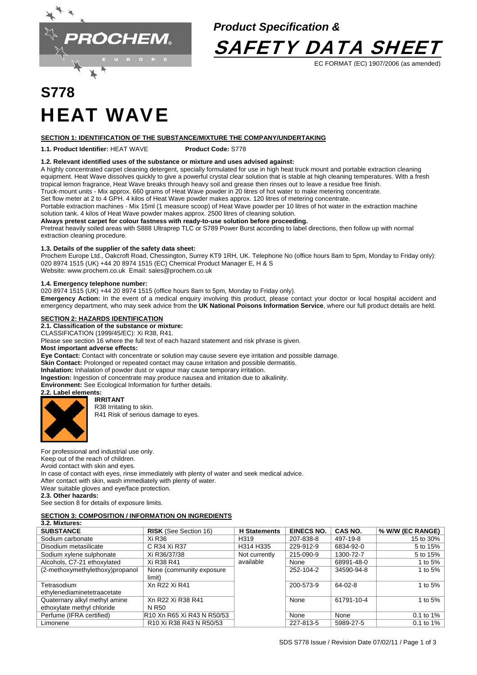

# *Product Specification &*



EC FORMAT (EC) 1907/2006 (as amended)

# **S778**  HEAT WAVE

### **SECTION 1: IDENTIFICATION OF THE SUBSTANCE/MIXTURE THE COMPANY/UNDERTAKING**

**1.1. Product Identifier:** HEAT WAVE **Product Code:** S778

### **1.2. Relevant identified uses of the substance or mixture and uses advised against:**

A highly concentrated carpet cleaning detergent, specially formulated for use in high heat truck mount and portable extraction cleaning equipment. Heat Wave dissolves quickly to give a powerful crystal clear solution that is stable at high cleaning temperatures. With a fresh tropical lemon fragrance, Heat Wave breaks through heavy soil and grease then rinses out to leave a residue free finish. Truck-mount units - Mix approx. 660 grams of Heat Wave powder in 20 litres of hot water to make metering concentrate.

Set flow meter at 2 to 4 GPH. 4 kilos of Heat Wave powder makes approx. 120 litres of metering concentrate.

Portable extraction machines - Mix 15ml (1 measure scoop) of Heat Wave powder per 10 litres of hot water in the extraction machine solution tank. 4 kilos of Heat Wave powder makes approx. 2500 litres of cleaning solution.

### **Always pretest carpet for colour fastness with ready-to-use solution before proceeding.**

Pretreat heavily soiled areas with S888 Ultraprep TLC or S789 Power Burst according to label directions, then follow up with normal extraction cleaning procedure.

### **1.3. Details of the supplier of the safety data sheet:**

Prochem Europe Ltd., Oakcroft Road, Chessington, Surrey KT9 1RH, UK. Telephone No (office hours 8am to 5pm, Monday to Friday only): 020 8974 1515 (UK) +44 20 8974 1515 (EC) Chemical Product Manager E, H & S Website: www.prochem.co.uk Email: sales@prochem.co.uk

### **1.4. Emergency telephone number:**

020 8974 1515 (UK) +44 20 8974 1515 (office hours 8am to 5pm, Monday to Friday only).

Emergency Action: In the event of a medical enquiry involving this product, please contact your doctor or local hospital accident and emergency department, who may seek advice from the **UK National Poisons Information Service**, where our full product details are held.

### **SECTION 2: HAZARDS IDENTIFICATION**

**2.1. Classification of the substance or mixture:** 

CLASSIFICATION (1999/45/EC): Xi R38, R41.

Please see section 16 where the full text of each hazard statement and risk phrase is given.

# **Most important adverse effects:**

**Eye Contact:** Contact with concentrate or solution may cause severe eye irritation and possible damage.

Skin Contact: Prolonged or repeated contact may cause irritation and possible dermatitis.

**Inhalation:** Inhalation of powder dust or vapour may cause temporary irritation.

**Ingestion:** Ingestion of concentrate may produce nausea and irritation due to alkalinity. **Environment:** See Ecological Information for further details.

**2.2. Label elements:** 

### **IRRITANT**

R38 Irritating to skin.

R41 Risk of serious damage to eyes.

For professional and industrial use only. Keep out of the reach of children.

Avoid contact with skin and eyes.

In case of contact with eyes, rinse immediately with plenty of water and seek medical advice. After contact with skin, wash immediately with plenty of water.

Wear suitable gloves and eye/face protection.

### **2.3. Other hazards:**

See section 8 for details of exposure limits.

# **SECTION 3: COMPOSITION / INFORMATION ON INGREDIENTS**

| 3.2. Mixtures:                  |                                                                          |                     |                   |            |                  |
|---------------------------------|--------------------------------------------------------------------------|---------------------|-------------------|------------|------------------|
| <b>SUBSTANCE</b>                | <b>RISK</b> (See Section 16)                                             | <b>H</b> Statements | <b>EINECS NO.</b> | CAS NO.    | % W/W (EC RANGE) |
| Sodium carbonate                | Xi R36                                                                   | H <sub>319</sub>    | 207-838-8         | 497-19-8   | 15 to 30%        |
| Disodium metasilicate           | C R34 Xi R37                                                             | H314 H335           | 229-912-9         | 6834-92-0  | 5 to 15%         |
| Sodium xylene sulphonate        | Xi R36/37/38                                                             | Not currently       | 215-090-9         | 1300-72-7  | 5 to 15%         |
| Alcohols, C7-21 ethoxylated     | Xi R38 R41                                                               | available           | None              | 68991-48-0 | 1 to $5%$        |
| (2-methoxymethylethoxy)propanol | None (community exposure)                                                |                     | 252-104-2         | 34590-94-8 | 1 to $5%$        |
|                                 | limit)                                                                   |                     |                   |            |                  |
| Tetrasodium                     | Xn R22 Xi R41                                                            |                     | 200-573-9         | $64-02-8$  | 1 to $5%$        |
| ethylenediaminetetraacetate     |                                                                          |                     |                   |            |                  |
| Quaternary alkyl methyl amine   | Xn R22 Xi R38 R41                                                        |                     | None              | 61791-10-4 | 1 to 5%          |
| ethoxylate methyl chloride      | N R50                                                                    |                     |                   |            |                  |
| Perfume (IFRA certified)        | R10 Xn R65 Xi R43 N R50/53                                               |                     | None              | None       | 0.1 to 1%        |
| Limonene                        | R <sub>10</sub> Xi R <sub>38</sub> R <sub>43</sub> N R <sub>50</sub> /53 |                     | 227-813-5         | 5989-27-5  | $0.1$ to $1\%$   |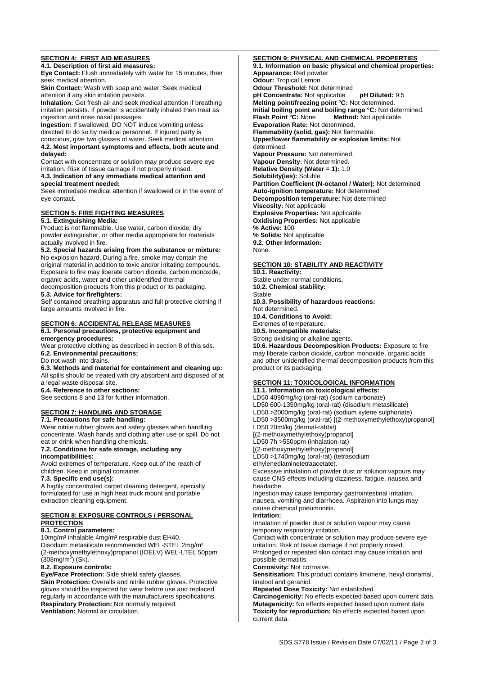# **SECTION 4: FIRST AID MEASURES**

**4.1. Description of first aid measures:** 

**Eye Contact:** Flush immediately with water for 15 minutes, then seek medical attention.

**Skin Contact:** Wash with soap and water. Seek medical attention if any skin irritation persists.

**Inhalation:** Get fresh air and seek medical attention if breathing irritation persists. If powder is accidentally inhaled then treat as ingestion and rinse nasal passages.

**Ingestion:** If swallowed, DO NOT induce vomiting unless directed to do so by medical personnel. If injured party is conscious, give two glasses of water. Seek medical attention. **4.2. Most important symptoms and effects, both acute and delayed:**

Contact with concentrate or solution may produce severe eye irritation. Risk of tissue damage if not properly rinsed.

**4.3. Indication of any immediate medical attention and special treatment needed:** 

Seek immediate medical attention if swallowed or in the event of eye contact.

# **SECTION 5: FIRE FIGHTING MEASURES**

# **5.1. Extinguishing Media:**

Product is not flammable. Use water, carbon dioxide, dry powder extinguisher, or other media appropriate for materials actually involved in fire.

# **5.2. Special hazards arising from the substance or mixture:**

No explosion hazard. During a fire, smoke may contain the original material in addition to toxic and/or irritating compounds. Exposure to fire may liberate carbon dioxide, carbon monoxide, organic acids, water and other unidentified thermal decomposition products from this product or its packaging.

**5.3. Advice for firefighters:** 

Self contained breathing apparatus and full protective clothing if large amounts involved in fire.

### **SECTION 6: ACCIDENTAL RELEASE MEASURES**

### **6.1. Personal precautions, protective equipment and emergency procedures:**

Wear protective clothing as described in section 8 of this sds. **6.2. Environmental precautions:** 

Do not wash into drains.

**6.3. Methods and material for containment and cleaning up:** All spills should be treated with dry absorbent and disposed of at

a legal waste disposal site.

**6.4. Reference to other sections:** 

See sections 8 and 13 for further information.

# **SECTION 7: HANDLING AND STORAGE**

**7.1. Precautions for safe handling:** 

Wear nitrile rubber gloves and safety glasses when handling concentrate. Wash hands and clothing after use or spill. Do not eat or drink when handling chemicals.

#### **7.2. Conditions for safe storage, including any incompatibilities:**

Avoid extremes of temperature. Keep out of the reach of children. Keep in original container.

### **7.3. Specific end use(s):**

A highly concentrated carpet cleaning detergent, specially formulated for use in high heat truck mount and portable extraction cleaning equipment.

# **SECTION 8: EXPOSURE CONTROLS / PERSONAL PROTECTION**

### **8.1. Control parameters:**

10mg/m<sup>3</sup> inhalable 4mg/m<sup>3</sup> respirable dust EH40. Disodium metasilicate recommended WEL-STEL 2mg/m³ (2-methoxymethylethoxy)propanol (IOELV) WEL-LTEL 50ppm (308mg/m<sup>3</sup>) (Sk).

### **8.2. Exposure controls:**

**Eye/Face Protection:** Side shield safety glasses. **Skin Protection:** Overalls and nitrile rubber gloves. Protective gloves should be inspected for wear before use and replaced regularly in accordance with the manufacturers specifications. **Respiratory Protection:** Not normally required. **Ventilation:** Normal air circulation.

**SECTION 9: PHYSICAL AND CHEMICAL PROPERTIES 9.1. Information on basic physical and chemical properties: Appearance:** Red powder **Odour:** Tropical Lemon **Odour Threshold:** Not determined **pH Concentrate:** Not applicable **pH Diluted:** 9.5 **Melting point/freezing point °C:** Not determined. **Initial boiling point and boiling range °C:** Not determined.<br>**Flash Point °C:** None **Method:** Not applicable **Method:** Not applicable **Evaporation Rate:** Not determined. **Flammability (solid, gas):** Not flammable. **Upper/lower flammability or explosive limits:** Not determined. **Vapour Pressure:** Not determined. **Vapour Density:** Not determined. **Relative Density (Water = 1):** 1.0 **Solubility(ies):** Soluble **Partition Coefficient (N-octanol / Water):** Not determined **Auto-ignition temperature:** Not determined **Decomposition temperature:** Not determined **Viscosity:** Not applicable **Explosive Properties:** Not applicable **Oxidising Properties:** Not applicable **% Active:** 100 **% Solids:** Not applicable **9.2. Other Information:**  None.

### **SECTION 10: STABILITY AND REACTIVITY**

**10.1. Reactivity:**  Stable under normal conditions. **10.2. Chemical stability:**  Stable **10.3. Possibility of hazardous reactions:**  Not determined. **10.4. Conditions to Avoid:** Extremes of temperature. **10.5. Incompatible materials:**  Strong oxidising or alkaline agents. **10.6. Hazardous Decomposition Products:** Exposure to fire

may liberate carbon dioxide, carbon monoxide, organic acids and other unidentified thermal decomposition products from this product or its packaging.

# **SECTION 11: TOXICOLOGICAL INFORMATION**

**11.1. Information on toxicological effects:**  LD50 4090mg/kg (oral-rat) (sodium carbonate) LD50 600-1350mg/kg (oral-rat) (disodium metasilicate) LD50 >2000mg/kg (oral-rat) (sodium xylene sulphonate) LD50 >3500mg/kg (oral-rat) [(2-methoxymethylethoxy)propanol] LD50 20ml/kg (dermal-rabbit) [(2-methoxymethylethoxy)propanol] LD50 7h >550ppm (inhalation-rat) [(2-methoxymethylethoxy)propanol] LD50 >1740mg/kg (oral-rat) (tetrasodium ethylenediaminetetraacetate). Excessive inhalation of powder dust or solution vapours may cause CNS effects including dizziness, fatigue, nausea and headache. Ingestion may cause temporary gastrointestinal irritation, nausea, vomiting and diarrhoea. Aspiration into lungs may cause chemical pneumonitis. **Irritation:**  Inhalation of powder dust or solution vapour may cause temporary respiratory irritation. Contact with concentrate or solution may produce severe eye irritation. Risk of tissue damage if not properly rinsed. Prolonged or repeated skin contact may cause irritation and possible dermatitis. **Corrosivity:** Not corrosive. **Sensitisation:** This product contains limonene, hexyl cinnamal, linalool and geraniol. **Repeated Dose Toxicity:** Not established **Carcinogenicity:** No effects expected based upon current data. **Mutagenicity:** No effects expected based upon current data. **Toxicity for reproduction:** No effects expected based upon

current data.